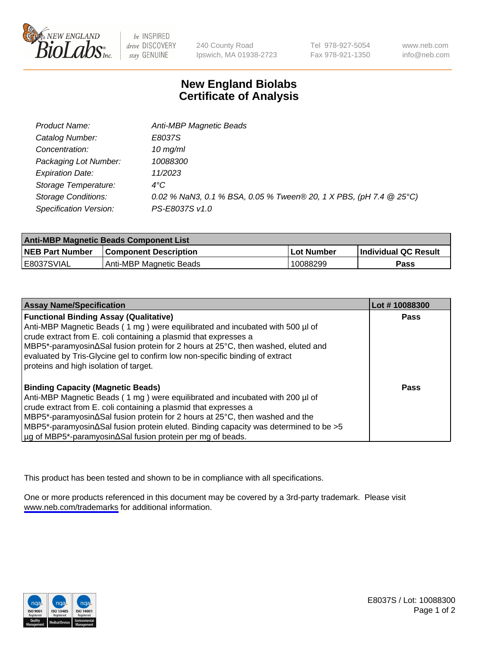

be INSPIRED drive DISCOVERY stay GENUINE

240 County Road Ipswich, MA 01938-2723 Tel 978-927-5054 Fax 978-921-1350

www.neb.com info@neb.com

## **New England Biolabs Certificate of Analysis**

| Product Name:              | Anti-MBP Magnetic Beads                                            |
|----------------------------|--------------------------------------------------------------------|
| Catalog Number:            | E8037S                                                             |
| Concentration:             | $10$ mg/ml                                                         |
| Packaging Lot Number:      | 10088300                                                           |
| <b>Expiration Date:</b>    | 11/2023                                                            |
| Storage Temperature:       | $4^{\circ}$ C                                                      |
| <b>Storage Conditions:</b> | 0.02 % NaN3, 0.1 % BSA, 0.05 % Tween® 20, 1 X PBS, (pH 7.4 @ 25°C) |
| Specification Version:     | PS-E8037S v1.0                                                     |

| <b>Anti-MBP Magnetic Beads Component List</b> |                              |                   |                             |  |
|-----------------------------------------------|------------------------------|-------------------|-----------------------------|--|
| <b>NEB Part Number</b>                        | <b>Component Description</b> | <b>Lot Number</b> | <b>Individual QC Result</b> |  |
| IE8037SVIAL                                   | Anti-MBP Magnetic Beads      | 10088299          | Pass                        |  |

| <b>Assay Name/Specification</b>                                                                       | Lot #10088300 |
|-------------------------------------------------------------------------------------------------------|---------------|
| <b>Functional Binding Assay (Qualitative)</b>                                                         | <b>Pass</b>   |
| Anti-MBP Magnetic Beads (1 mg) were equilibrated and incubated with 500 µl of                         |               |
| crude extract from E. coli containing a plasmid that expresses a                                      |               |
| NBP5*-paramyosin∆Sal fusion protein for 2 hours at 25°C, then washed, eluted and                      |               |
| evaluated by Tris-Glycine gel to confirm low non-specific binding of extract                          |               |
| proteins and high isolation of target.                                                                |               |
| <b>Binding Capacity (Magnetic Beads)</b>                                                              | Pass          |
| Anti-MBP Magnetic Beads (1 mg) were equilibrated and incubated with 200 µl of                         |               |
| crude extract from E. coli containing a plasmid that expresses a                                      |               |
| $\vert$ MBP5*-paramyosin $\Delta$ Sal fusion protein for 2 hours at 25°C, then washed and the         |               |
| $\vert$ MBP5*-paramyosin $\Delta$ Sal fusion protein eluted. Binding capacity was determined to be >5 |               |
| µg of MBP5*-paramyosin∆Sal fusion protein per mg of beads.                                            |               |

This product has been tested and shown to be in compliance with all specifications.

One or more products referenced in this document may be covered by a 3rd-party trademark. Please visit <www.neb.com/trademarks>for additional information.